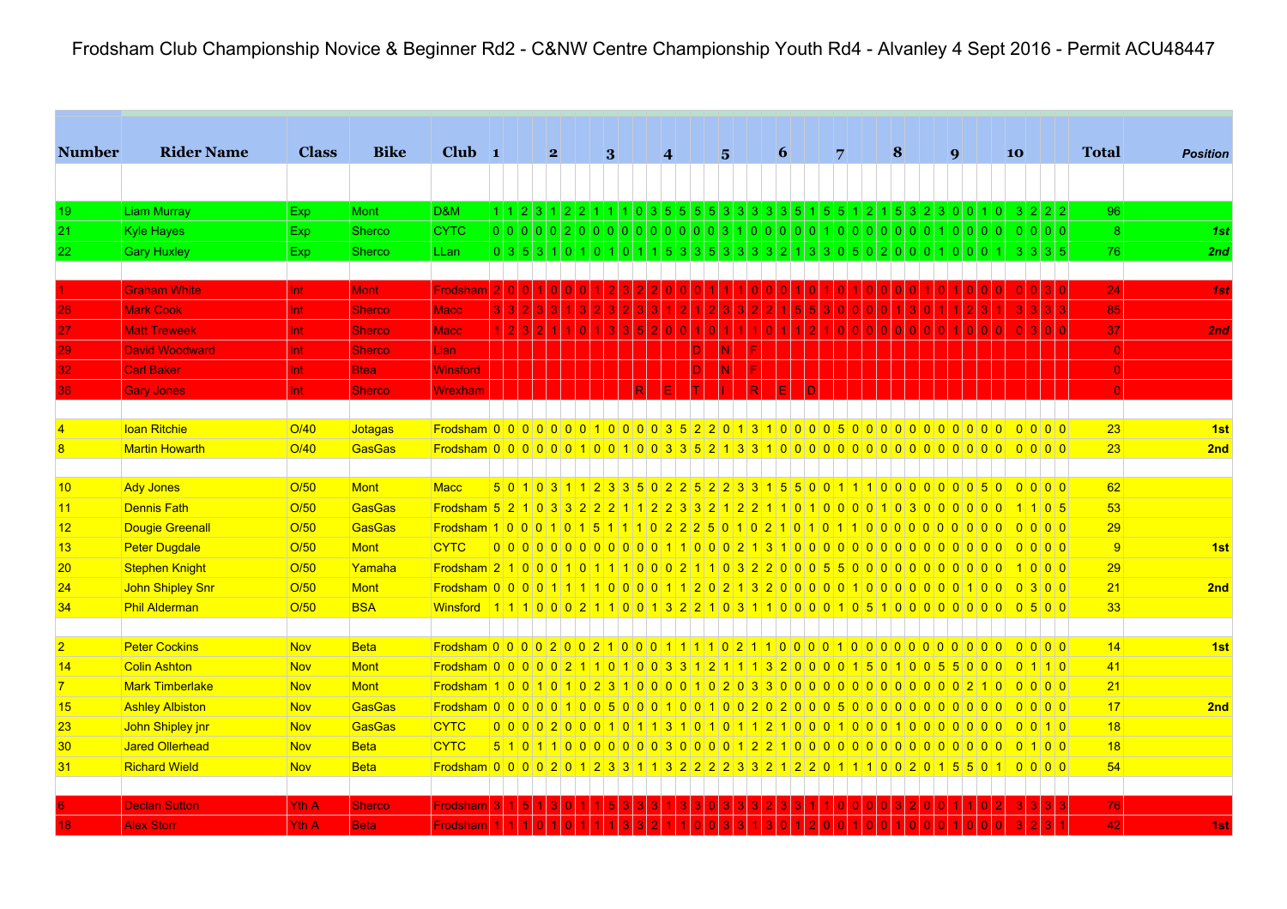Frodsham Club Championship Novice & Beginner Rd2 - C&NW Centre Championship Youth Rd4 - Alvanley 4 Sept 2016 - Permit ACU48447

| <b>Number</b>           | <b>Rider Name</b>      | <b>Class</b> | <b>Bike</b>   | Club $\vert$ 1                                                                                |  | $\mathbf{2}$ |  | 3         | $\vert 4 \vert$ |           |                | $\overline{5}$                                                        | 6               | 7                          |                            | 8 |  | $\boldsymbol{q}$ |                             | 10 |                                              |       | <b>Total</b>   | <b>Position</b>       |
|-------------------------|------------------------|--------------|---------------|-----------------------------------------------------------------------------------------------|--|--------------|--|-----------|-----------------|-----------|----------------|-----------------------------------------------------------------------|-----------------|----------------------------|----------------------------|---|--|------------------|-----------------------------|----|----------------------------------------------|-------|----------------|-----------------------|
|                         |                        |              |               |                                                                                               |  |              |  |           |                 |           |                |                                                                       |                 |                            |                            |   |  |                  |                             |    |                                              |       |                |                       |
| 19                      | <b>Liam Murray</b>     | Exp          | <b>Mont</b>   | D&M                                                                                           |  |              |  |           |                 |           |                | 1 1 2 3 1 2 2 1 1 1 0 3 5 5 5 5 3 3 3 3 5 1 5 5 1 2 1 5 3 2 3 0 0 1 0 |                 |                            |                            |   |  |                  |                             |    | $3 2 2 2$                                    |       | 96             |                       |
| 21                      | <b>Kyle Hayes</b>      | <b>Exp</b>   | Sherco        | <b>CYTC</b>                                                                                   |  |              |  |           |                 |           |                | 00000200000000000310000010000000010000                                |                 |                            |                            |   |  |                  |                             |    | 0 0 0 0                                      |       |                | 8 <sup>1</sup><br>1st |
| 22                      | <b>Gary Huxley</b>     | Exp          | <b>Sherco</b> | <b>LLan</b>                                                                                   |  |              |  |           |                 |           |                | $0$ 3 5 3 1 0 1 0 1 0 1 1 5 3 3 5 3 3 3 3 4 5 4 6 5 0 2 0 0 1 0 0 0   |                 |                            |                            |   |  |                  |                             |    | -3 I                                         | 3 3 5 | 76             | 2nd                   |
|                         |                        |              |               |                                                                                               |  |              |  |           |                 |           |                |                                                                       |                 |                            |                            |   |  |                  |                             |    |                                              |       |                |                       |
|                         | <b>Graham White</b>    | Int          | <b>Mont</b>   | Frodsham                                                                                      |  |              |  |           |                 |           |                |                                                                       |                 |                            |                            |   |  |                  |                             |    |                                              |       | 24             | 1st                   |
| 26                      | <b>Mark Cook</b>       | Int          | <b>Sherco</b> | <b>Macc</b>                                                                                   |  |              |  |           |                 |           |                |                                                                       |                 |                            |                            |   |  |                  |                             |    |                                              |       | 85             |                       |
| 27                      | <b>Matt Treweek</b>    | Int          | <b>Sherco</b> | Macc                                                                                          |  |              |  |           |                 |           |                |                                                                       |                 |                            |                            |   |  |                  |                             |    |                                              |       | 37             | 2nd                   |
| 29                      | <b>David Woodward</b>  | Int          | <b>Sherco</b> | Llan                                                                                          |  |              |  |           |                 |           |                |                                                                       |                 |                            |                            |   |  |                  |                             |    |                                              |       |                | 0                     |
|                         | <b>Carl Baker</b>      | Int          | <b>Btea</b>   | <b>Winsford</b>                                                                               |  |              |  |           |                 |           |                |                                                                       |                 |                            |                            |   |  |                  |                             |    |                                              |       |                | $\overline{0}$        |
|                         | <b>Gary Jones</b>      | Int          | <b>Sherco</b> | Wrexham                                                                                       |  |              |  |           |                 |           |                |                                                                       |                 |                            |                            |   |  |                  |                             |    |                                              |       |                |                       |
|                         |                        |              |               |                                                                                               |  |              |  |           |                 |           |                |                                                                       |                 |                            |                            |   |  |                  |                             |    |                                              |       |                |                       |
| $\overline{\mathbf{A}}$ | Ioan Ritchie           | O/40         | Jotagas       |                                                                                               |  |              |  |           |                 |           |                |                                                                       |                 |                            |                            |   |  |                  |                             |    | $\Omega$ $\Omega$ $\Omega$ $\Omega$ $\Omega$ |       | 23             | 1 <sub>st</sub>       |
| 8                       | <b>Martin Howarth</b>  | O/40         | GasGas        |                                                                                               |  |              |  |           |                 |           |                |                                                                       |                 |                            |                            |   |  |                  |                             |    |                                              |       | 23             | 2nd                   |
|                         |                        |              |               |                                                                                               |  |              |  |           |                 |           |                |                                                                       |                 |                            |                            |   |  |                  |                             |    |                                              |       |                |                       |
| 10                      | <b>Ady Jones</b>       | O/50         | Mont          | <b>Macc</b>                                                                                   |  |              |  |           |                 |           |                |                                                                       |                 |                            |                            |   |  |                  |                             |    |                                              |       | 62             |                       |
| 11                      | <b>Dennis Fath</b>     | O/50         | GasGas        |                                                                                               |  |              |  |           |                 |           |                |                                                                       |                 |                            |                            |   |  |                  |                             |    | 1105                                         |       | 53             |                       |
| 12                      | Dougie Greenall        | O/50         | GasGas        |                                                                                               |  |              |  |           |                 |           |                |                                                                       |                 |                            |                            |   |  |                  |                             |    | 0000                                         |       | 29             |                       |
| 13                      | <b>Peter Dugdale</b>   | O/50         | Mont          | <b>CYTC</b>                                                                                   |  |              |  |           |                 |           |                |                                                                       |                 |                            |                            |   |  |                  |                             |    |                                              |       | $\overline{9}$ | 1 <sub>st</sub>       |
| 20                      | Stephen Knight         | O/50         | Yamaha        |                                                                                               |  |              |  |           |                 |           |                |                                                                       |                 |                            |                            |   |  |                  |                             |    | 1000                                         |       | 29             |                       |
| 24                      | John Shipley Snr       | O/50         | <b>Mont</b>   | <u>Frodsham 0 0 0 0 1 1 1 1 0 0 0 0 1 1 2 0 2 1 3 2 0 0 0 0 0 1 0 0 0 0 0 0 0 1 0 0 1 0 0</u> |  |              |  |           |                 |           |                |                                                                       |                 |                            |                            |   |  |                  |                             |    | 0 3 0 0                                      |       | 21             | 2nd                   |
| 34                      | <b>Phil Alderman</b>   | O/50         | <b>BSA</b>    | <u>Winsford 1111000211001322103110000100105100000000</u>                                      |  |              |  |           |                 |           |                |                                                                       |                 |                            |                            |   |  |                  |                             |    | $0\vert 5\vert 0\vert 0\vert$                |       | 33             |                       |
|                         |                        |              |               |                                                                                               |  |              |  |           |                 |           |                |                                                                       |                 |                            |                            |   |  |                  |                             |    |                                              |       |                |                       |
| $\overline{2}$          | <b>Peter Cockins</b>   | <b>Nov</b>   | <b>Beta</b>   |                                                                                               |  |              |  |           |                 |           |                |                                                                       |                 |                            |                            |   |  |                  |                             |    | 0000                                         |       | 14             | 1st                   |
| 14                      | Colin Ashton           | <b>Nov</b>   | Mont          | Frodsham 0 0 0 0 0 0 2 1 1 0 1 0 0 3 3                                                        |  |              |  |           |                 |           |                | 2 1 1 1 3                                                             | $\vert 2 \vert$ | 0 0 0 0                    | 5 <sup>1</sup><br>$\Omega$ |   |  |                  | $0 \ 0 \ 5 \ 5 \ 0 \ 0 \ 0$ |    | 01110                                        |       | 41             |                       |
| $\overline{7}$          | <b>Mark Timberlake</b> | <b>Nov</b>   | Mont          | <b>Frodsham 1001101023</b>                                                                    |  |              |  | $\vert$ 1 |                 | 0 0 0 0 1 | 0 <sup>2</sup> |                                                                       |                 | 03300000000000000002100000 |                            |   |  |                  |                             |    |                                              |       | 21             |                       |
| 15                      | <b>Ashley Albiston</b> | <b>Nov</b>   | GasGas        |                                                                                               |  |              |  |           |                 |           |                |                                                                       |                 |                            |                            |   |  |                  |                             |    |                                              |       | 17             | 2nd                   |
| 23                      | John Shipley jnr       | <b>Nov</b>   | GasGas        | <b>CYTC</b>                                                                                   |  |              |  |           |                 |           |                |                                                                       |                 |                            |                            |   |  |                  |                             |    |                                              |       | 18             |                       |
| 30                      | <b>Jared Ollerhead</b> | <b>Nov</b>   | <b>Beta</b>   | <b>CYTC</b>                                                                                   |  |              |  |           |                 |           |                |                                                                       |                 |                            |                            |   |  |                  |                             |    |                                              |       | 18             |                       |
| 31                      | <b>Richard Wield</b>   | <b>Nov</b>   | <b>Beta</b>   | Frodsham 0 0 0 0 2 0 1 2 3 3 1 1 3 2 2 2 2 3 3 2 1 2 2 0 1 1 1 0 0 2 0 1 5 5 0 1 0 0 0 0      |  |              |  |           |                 |           |                |                                                                       |                 |                            |                            |   |  |                  |                             |    |                                              |       | 54             |                       |
|                         |                        |              |               |                                                                                               |  |              |  |           |                 |           |                |                                                                       |                 |                            |                            |   |  |                  |                             |    |                                              |       |                |                       |
|                         | <b>Declan Sutton</b>   | <b>Yth A</b> | <b>Sherco</b> | Frodsham                                                                                      |  |              |  |           |                 |           |                |                                                                       |                 |                            |                            |   |  |                  |                             |    |                                              |       | 76             |                       |
| 18                      | <b>Alex Storr</b>      | Yth A        | <b>Beta</b>   | Frodsham                                                                                      |  |              |  |           |                 |           |                |                                                                       |                 |                            |                            |   |  |                  |                             |    |                                              |       | 42             | 1st                   |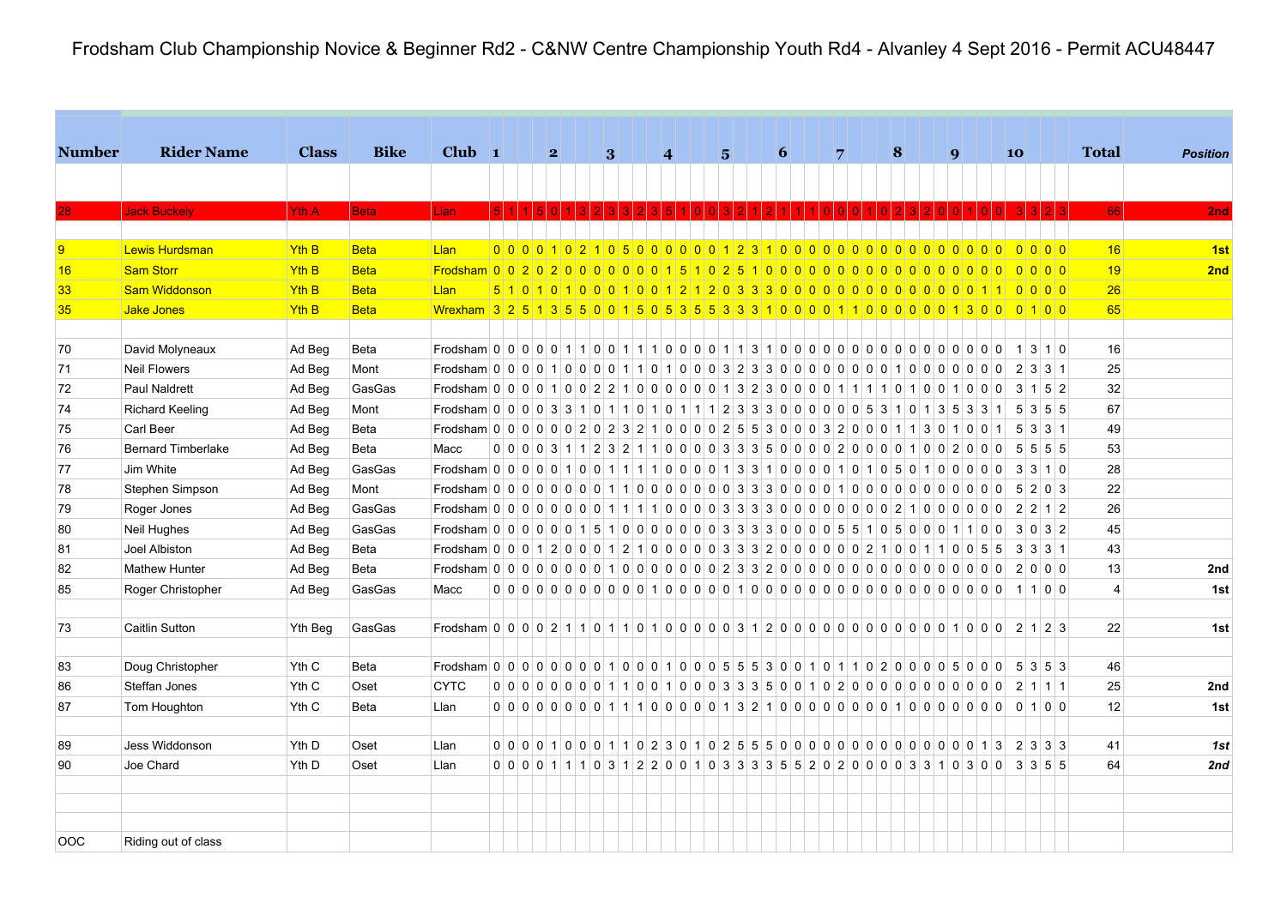| <b>Number</b>   | <b>Rider Name</b>         | <b>Class</b>     | <b>Bike</b> | $Club$ 1                                                                                                                                                 |  |  | $\overline{\mathbf{2}}$                                                                   |  | 3 |  | $\vert$ 4 |  | 5 |  | 6 |  | 7 |  | 8 |  | $\boldsymbol{q}$ |  |      | 10 |                            |                   | <b>Total</b>   |  | <b>Position</b> |
|-----------------|---------------------------|------------------|-------------|----------------------------------------------------------------------------------------------------------------------------------------------------------|--|--|-------------------------------------------------------------------------------------------|--|---|--|-----------|--|---|--|---|--|---|--|---|--|------------------|--|------|----|----------------------------|-------------------|----------------|--|-----------------|
|                 |                           |                  |             |                                                                                                                                                          |  |  |                                                                                           |  |   |  |           |  |   |  |   |  |   |  |   |  |                  |  |      |    |                            |                   |                |  |                 |
|                 | <b>Jack Buckely</b>       | Yth A            | <b>Beta</b> | Llan                                                                                                                                                     |  |  |                                                                                           |  |   |  |           |  |   |  |   |  |   |  |   |  |                  |  |      |    |                            |                   | <b>66</b>      |  | 2nd             |
|                 |                           |                  |             |                                                                                                                                                          |  |  |                                                                                           |  |   |  |           |  |   |  |   |  |   |  |   |  |                  |  |      |    |                            |                   |                |  |                 |
| $\overline{9}$  | Lewis Hurdsman            | <b>Yth B</b>     | <b>Beta</b> | Llan                                                                                                                                                     |  |  | 00001021050000012310000000000000000000                                                    |  |   |  |           |  |   |  |   |  |   |  |   |  |                  |  |      |    | $\Omega$ $\Omega$ $\Omega$ |                   | 16             |  | 1st             |
| 16              | Sam Storr                 | Yth <sub>B</sub> | <b>Beta</b> |                                                                                                                                                          |  |  |                                                                                           |  |   |  |           |  |   |  |   |  |   |  |   |  |                  |  |      |    | 0 0 0 0                    |                   | 19             |  | 2nd             |
| 33 <sub>o</sub> | <b>Sam Widdonson</b>      | <b>Yth B</b>     | <b>Beta</b> | Llan                                                                                                                                                     |  |  |                                                                                           |  |   |  |           |  |   |  |   |  |   |  |   |  |                  |  |      |    |                            |                   | 26             |  |                 |
| 35              | Jake Jones                | <b>Yth B</b>     | <b>Beta</b> | Wrexham 3 2 5 1 3 5 5 0 0 1 5 0 5 3 5 5 3 3 3 1 0 0 0 0 1 1 0 0 0 0 0 0 1 3 0 0 0 1 0 0                                                                  |  |  |                                                                                           |  |   |  |           |  |   |  |   |  |   |  |   |  |                  |  |      |    |                            |                   | 65             |  |                 |
|                 |                           |                  |             |                                                                                                                                                          |  |  |                                                                                           |  |   |  |           |  |   |  |   |  |   |  |   |  |                  |  |      |    |                            |                   |                |  |                 |
| 70              | David Molyneaux           | Ad Beg           | Beta        |                                                                                                                                                          |  |  |                                                                                           |  |   |  |           |  |   |  |   |  |   |  |   |  |                  |  |      |    |                            |                   | 16             |  |                 |
| 71              | <b>Neil Flowers</b>       | Ad Beg           | Mont        |                                                                                                                                                          |  |  |                                                                                           |  |   |  |           |  |   |  |   |  |   |  |   |  |                  |  |      |    | 2 3 3 1                    |                   | 25             |  |                 |
| 72              | Paul Naldrett             | Ad Beg           | GasGas      | Frodsham 0 0 0 0 1 0 0 2 2 1 0 0 0 0 0 0 1 3 2 3 0 0 0 0 1 1 1 1 0 1 0 1 0 1 0 0 3 1 5 2                                                                 |  |  |                                                                                           |  |   |  |           |  |   |  |   |  |   |  |   |  |                  |  |      |    |                            |                   | 32             |  |                 |
| 74              | <b>Richard Keeling</b>    | Ad Beg           | Mont        | Frodsham $0\,0\,0\,0\,3\,3\,1\,0\,1\,1\,0\,1\,1\,0\,1\,1\,1\,1\,1\,2\,3\,3\,3\,0\,0\,0\,0\,0\,0\,0\,0\,5\,3\,1\,0\,1\,3\,5\,3\,3\,1\,1\,5$               |  |  |                                                                                           |  |   |  |           |  |   |  |   |  |   |  |   |  |                  |  |      |    |                            | 3 5 5             | 67             |  |                 |
| 75              | Carl Beer                 | Ad Beg           | Beta        | Frodsham 0 0 0 0 0 0 0 2 0 2 3 2 1 0 0 0 0 2 5 5 3 0 0 0 3 2 0 0 0 1 1 3 0 1 0 0 1 5                                                                     |  |  |                                                                                           |  |   |  |           |  |   |  |   |  |   |  |   |  |                  |  |      |    |                            | $3 \mid 3 \mid 1$ | 49             |  |                 |
| 76              | <b>Bernard Timberlake</b> | Ad Beg           | Beta        | Macc                                                                                                                                                     |  |  | $0$ 0 0 0 3 1 1 2 3 2 1 1 0 0 0 0 3 3 3 5 0 0 0 0 2 0 0 0 0 1 0 0 2 0 0 0 2 0 0 0 5 5 5 5 |  |   |  |           |  |   |  |   |  |   |  |   |  |                  |  |      |    |                            |                   | 53             |  |                 |
| 77              | Jim White                 | Ad Beg           | GasGas      |                                                                                                                                                          |  |  |                                                                                           |  |   |  |           |  |   |  |   |  |   |  |   |  |                  |  |      |    |                            |                   | 28             |  |                 |
| 78              | Stephen Simpson           | Ad Beg           | Mont        |                                                                                                                                                          |  |  |                                                                                           |  |   |  |           |  |   |  |   |  |   |  |   |  |                  |  |      |    |                            |                   | 22             |  |                 |
| 79              | Roger Jones               | Ad Beg           | GasGas      |                                                                                                                                                          |  |  |                                                                                           |  |   |  |           |  |   |  |   |  |   |  |   |  |                  |  |      |    | 2 2 1 2                    |                   | 26             |  |                 |
| 80              | Neil Hughes               | Ad Beg           | GasGas      | Frodsham 0 0 0 0 0 0 0 1 5 1 0 0 0 0 0 0 0 3 3 3 3 0 0 0 0 5 5 1 0 5 0 0 0                                                                               |  |  |                                                                                           |  |   |  |           |  |   |  |   |  |   |  |   |  |                  |  | 1100 |    | 3 0 3 2                    |                   | 45             |  |                 |
| 81              | Joel Albiston             | Ad Beg           | Beta        | Frodsham   0   0   0   1   2   0   0   0   1   2   1   0   0   0   0   0   3   3   3   2   0   0   0   0   0   0   2   1   0   0   5   5   3   3   3   1 |  |  |                                                                                           |  |   |  |           |  |   |  |   |  |   |  |   |  |                  |  |      |    |                            |                   | 43             |  |                 |
| 82              | <b>Mathew Hunter</b>      | Ad Beg           | Beta        |                                                                                                                                                          |  |  |                                                                                           |  |   |  |           |  |   |  |   |  |   |  |   |  |                  |  |      |    |                            |                   | 13             |  | 2nd             |
| 85              | Roger Christopher         | Ad Beg           | GasGas      | Macc                                                                                                                                                     |  |  |                                                                                           |  |   |  |           |  |   |  |   |  |   |  |   |  |                  |  |      |    |                            |                   | $\overline{4}$ |  | 1st             |
|                 |                           |                  |             |                                                                                                                                                          |  |  |                                                                                           |  |   |  |           |  |   |  |   |  |   |  |   |  |                  |  |      |    |                            |                   |                |  |                 |
| 73              | Caitlin Sutton            | Yth Beg          | GasGas      | Frodsham $0$ 0 0 0 2 1 1 0 1 1 0 1 0 0 0 0 0 3 1 2 0 0 0 0 0 0 0 0 0 0 0 0 0 1 0 0 1 0 0 2 1 2 3                                                         |  |  |                                                                                           |  |   |  |           |  |   |  |   |  |   |  |   |  |                  |  |      |    |                            |                   | 22             |  | 1st             |
|                 |                           |                  |             |                                                                                                                                                          |  |  |                                                                                           |  |   |  |           |  |   |  |   |  |   |  |   |  |                  |  |      |    |                            |                   |                |  |                 |
| 83              | Doug Christopher          | Yth C            | Beta        | Frodsham 0 0 0 0 0 0 0 0 0 1 0 0 0 1 0 0 0 5 5 5 3 0 0 1 0 1 1 0 2 0 0 0 0 5 0 0 0 5 3 5 3                                                               |  |  |                                                                                           |  |   |  |           |  |   |  |   |  |   |  |   |  |                  |  |      |    |                            |                   | 46             |  |                 |
| 86              | Steffan Jones             | Yth C            | Oset        | <b>CYTC</b>                                                                                                                                              |  |  | $0$ 0 0 0 0 0 0 0 0 1 1 0 0 1 0 0 0 3 3 3 5 0 0 1 0 2 0 0 0 0 0 0 0 0 0 0 0 0 0 2 1 1 1   |  |   |  |           |  |   |  |   |  |   |  |   |  |                  |  |      |    |                            |                   | 25             |  | 2nd             |
| 87              | Tom Houghton              | Yth C            | Beta        | Llan                                                                                                                                                     |  |  |                                                                                           |  |   |  |           |  |   |  |   |  |   |  |   |  |                  |  |      |    |                            |                   | 12             |  | 1st             |
| 89              | Jess Widdonson            | Yth D            | Oset        | Llan                                                                                                                                                     |  |  |                                                                                           |  |   |  |           |  |   |  |   |  |   |  |   |  |                  |  |      |    | $2 \mid 3 \mid 3 \mid 3$   |                   | 41             |  | 1st             |
| 90              | Joe Chard                 | Yth D            | Oset        | Llan                                                                                                                                                     |  |  | $0 0 0 0 1 11 03122001003333355202000033100300$                                           |  |   |  |           |  |   |  |   |  |   |  |   |  |                  |  |      |    |                            |                   | 64             |  | 2nd             |
|                 |                           |                  |             |                                                                                                                                                          |  |  |                                                                                           |  |   |  |           |  |   |  |   |  |   |  |   |  |                  |  |      |    |                            |                   |                |  |                 |
|                 |                           |                  |             |                                                                                                                                                          |  |  |                                                                                           |  |   |  |           |  |   |  |   |  |   |  |   |  |                  |  |      |    |                            |                   |                |  |                 |
|                 |                           |                  |             |                                                                                                                                                          |  |  |                                                                                           |  |   |  |           |  |   |  |   |  |   |  |   |  |                  |  |      |    |                            |                   |                |  |                 |
| OOC             | Riding out of class       |                  |             |                                                                                                                                                          |  |  |                                                                                           |  |   |  |           |  |   |  |   |  |   |  |   |  |                  |  |      |    |                            |                   |                |  |                 |